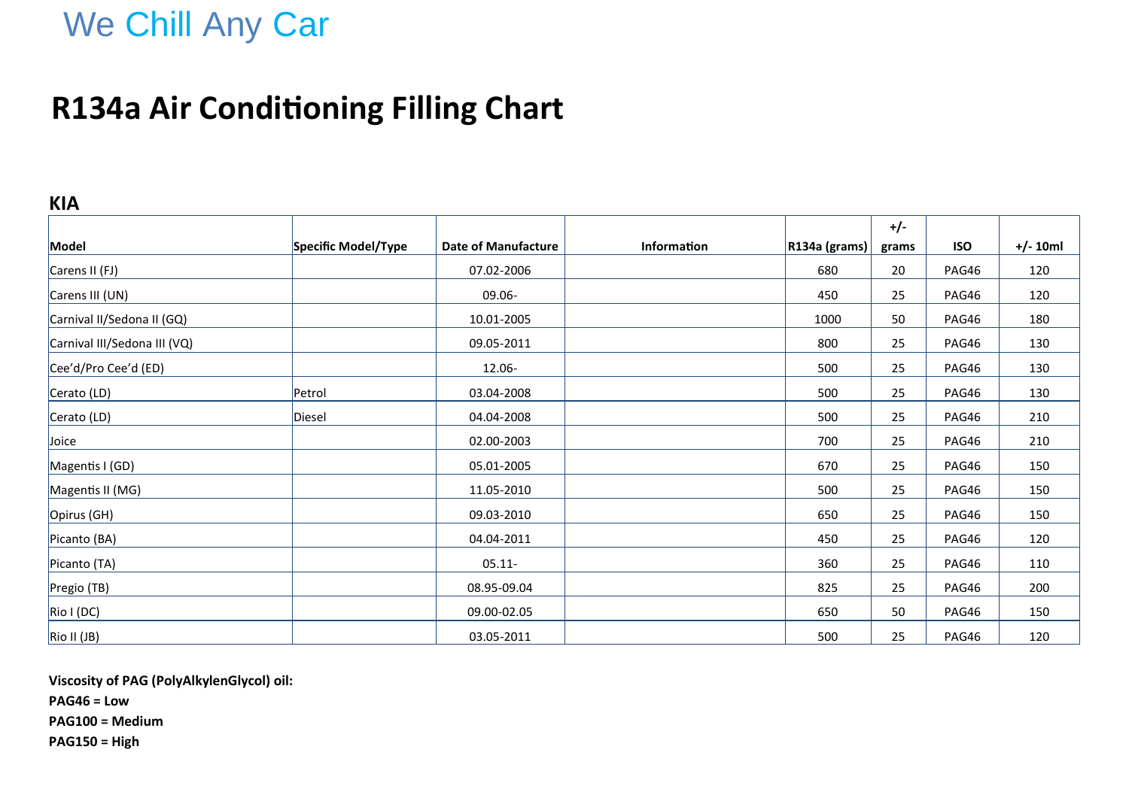# We Chill Any Car

## **R134a Air Conditioning Filling Chart**

### **KIA**

|                              |                     |                            |                    |                               | $+/-$ |            |            |
|------------------------------|---------------------|----------------------------|--------------------|-------------------------------|-------|------------|------------|
| Model                        | Specific Model/Type | <b>Date of Manufacture</b> | <b>Information</b> | $\vert$ R134a (grams) $\vert$ | grams | <b>ISO</b> | $+/- 10ml$ |
| Carens II (FJ)               |                     | 07.02-2006                 |                    | 680                           | 20    | PAG46      | 120        |
| Carens III (UN)              |                     | 09.06-                     |                    | 450                           | 25    | PAG46      | 120        |
| Carnival II/Sedona II (GQ)   |                     | 10.01-2005                 |                    | 1000                          | 50    | PAG46      | 180        |
| Carnival III/Sedona III (VQ) |                     | 09.05-2011                 |                    | 800                           | 25    | PAG46      | 130        |
| Cee'd/Pro Cee'd (ED)         |                     | 12.06-                     |                    | 500                           | 25    | PAG46      | 130        |
| Cerato (LD)                  | Petrol              | 03.04-2008                 |                    | 500                           | 25    | PAG46      | 130        |
| Cerato (LD)                  | Diesel              | 04.04-2008                 |                    | 500                           | 25    | PAG46      | 210        |
| Joice                        |                     | 02.00-2003                 |                    | 700                           | 25    | PAG46      | 210        |
| Magentis I (GD)              |                     | 05.01-2005                 |                    | 670                           | 25    | PAG46      | 150        |
| Magentis II (MG)             |                     | 11.05-2010                 |                    | 500                           | 25    | PAG46      | 150        |
| Opirus (GH)                  |                     | 09.03-2010                 |                    | 650                           | 25    | PAG46      | 150        |
| Picanto (BA)                 |                     | 04.04-2011                 |                    | 450                           | 25    | PAG46      | 120        |
| Picanto (TA)                 |                     | $05.11 -$                  |                    | 360                           | 25    | PAG46      | 110        |
| Pregio (TB)                  |                     | 08.95-09.04                |                    | 825                           | 25    | PAG46      | 200        |
| Rio I (DC)                   |                     | 09.00-02.05                |                    | 650                           | 50    | PAG46      | 150        |
| Rio II (JB)                  |                     | 03.05-2011                 |                    | 500                           | 25    | PAG46      | 120        |

**Viscosity of PAG (PolyAlkylenGlycol) oil:**

**PAG46 = Low**

**PAG100 = Medium**

**PAG150 = High**